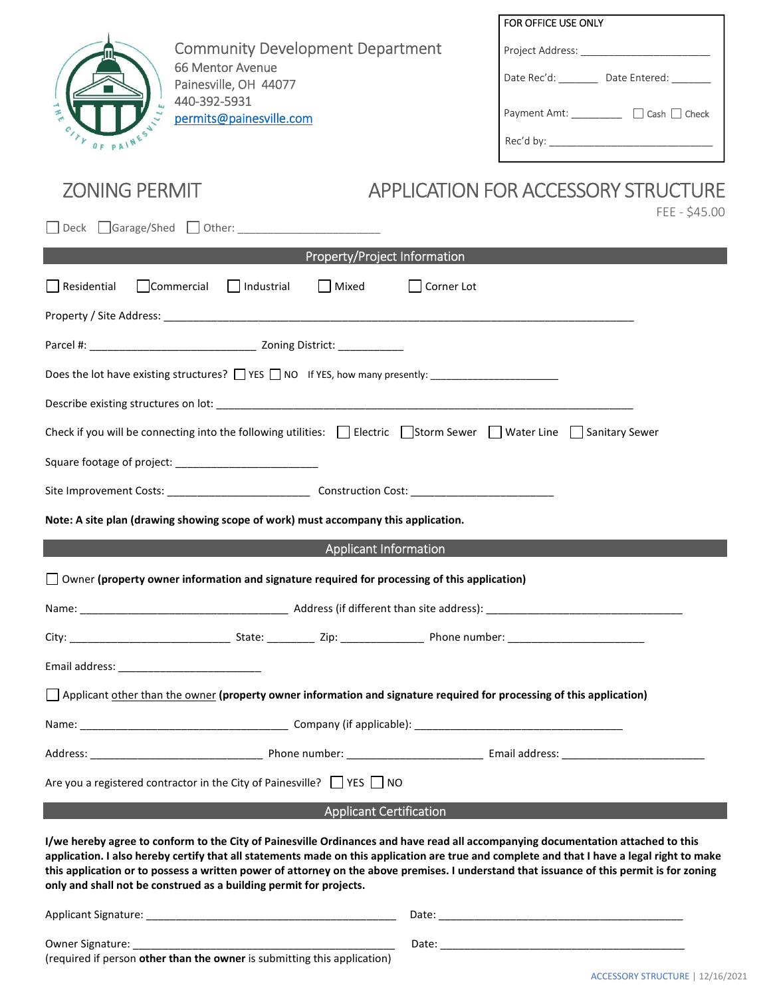

Community Development Department 66 Mentor Avenue Painesville, OH 44077 440-392-5931 permits@painesville.com

| FOR OFFICE USE ONLY                      |  |  |  |  |  |  |
|------------------------------------------|--|--|--|--|--|--|
| Project Address:                         |  |  |  |  |  |  |
| Date Rec'd:<br>Date Entered:             |  |  |  |  |  |  |
| $\Box$ Cash $\Box$ Check<br>Payment Amt: |  |  |  |  |  |  |
| Rec'd by:                                |  |  |  |  |  |  |

# ZONING PERMIT APPLICATION FOR ACCESSORY STRUCTURE

| FEE - \$45.00                                                                                                                                                                                                                                                                                                                                                                                                                                                                                      |  |  |  |  |  |  |  |
|----------------------------------------------------------------------------------------------------------------------------------------------------------------------------------------------------------------------------------------------------------------------------------------------------------------------------------------------------------------------------------------------------------------------------------------------------------------------------------------------------|--|--|--|--|--|--|--|
| Property/Project Information                                                                                                                                                                                                                                                                                                                                                                                                                                                                       |  |  |  |  |  |  |  |
| Residential<br>Commercial<br>$\Box$ Industrial<br>Mixed<br>Corner Lot                                                                                                                                                                                                                                                                                                                                                                                                                              |  |  |  |  |  |  |  |
|                                                                                                                                                                                                                                                                                                                                                                                                                                                                                                    |  |  |  |  |  |  |  |
|                                                                                                                                                                                                                                                                                                                                                                                                                                                                                                    |  |  |  |  |  |  |  |
| Does the lot have existing structures? THE RIS TRIM IF YES, how many presently:                                                                                                                                                                                                                                                                                                                                                                                                                    |  |  |  |  |  |  |  |
|                                                                                                                                                                                                                                                                                                                                                                                                                                                                                                    |  |  |  |  |  |  |  |
| Check if you will be connecting into the following utilities: $\Box$ Electric $\Box$ Storm Sewer $\Box$ Water Line $\Box$ Sanitary Sewer                                                                                                                                                                                                                                                                                                                                                           |  |  |  |  |  |  |  |
|                                                                                                                                                                                                                                                                                                                                                                                                                                                                                                    |  |  |  |  |  |  |  |
|                                                                                                                                                                                                                                                                                                                                                                                                                                                                                                    |  |  |  |  |  |  |  |
| Note: A site plan (drawing showing scope of work) must accompany this application.                                                                                                                                                                                                                                                                                                                                                                                                                 |  |  |  |  |  |  |  |
| <b>Applicant Information</b>                                                                                                                                                                                                                                                                                                                                                                                                                                                                       |  |  |  |  |  |  |  |
| $\Box$ Owner (property owner information and signature required for processing of this application)                                                                                                                                                                                                                                                                                                                                                                                                |  |  |  |  |  |  |  |
|                                                                                                                                                                                                                                                                                                                                                                                                                                                                                                    |  |  |  |  |  |  |  |
|                                                                                                                                                                                                                                                                                                                                                                                                                                                                                                    |  |  |  |  |  |  |  |
|                                                                                                                                                                                                                                                                                                                                                                                                                                                                                                    |  |  |  |  |  |  |  |
| $\Box$ Applicant other than the owner (property owner information and signature required for processing of this application)                                                                                                                                                                                                                                                                                                                                                                       |  |  |  |  |  |  |  |
|                                                                                                                                                                                                                                                                                                                                                                                                                                                                                                    |  |  |  |  |  |  |  |
|                                                                                                                                                                                                                                                                                                                                                                                                                                                                                                    |  |  |  |  |  |  |  |
| Are you a registered contractor in the City of Painesville? $\Box$ YES $\Box$ NO                                                                                                                                                                                                                                                                                                                                                                                                                   |  |  |  |  |  |  |  |
| <b>Applicant Certification</b>                                                                                                                                                                                                                                                                                                                                                                                                                                                                     |  |  |  |  |  |  |  |
| I/we hereby agree to conform to the City of Painesville Ordinances and have read all accompanying documentation attached to this<br>application. I also hereby certify that all statements made on this application are true and complete and that I have a legal right to make<br>this application or to possess a written power of attorney on the above premises. I understand that issuance of this permit is for zoning<br>only and shall not be construed as a building permit for projects. |  |  |  |  |  |  |  |

| Applicant Signature:                                                                         | Date |
|----------------------------------------------------------------------------------------------|------|
| Owner Signature:<br>(required if person other than the owner is submitting this application) | Date |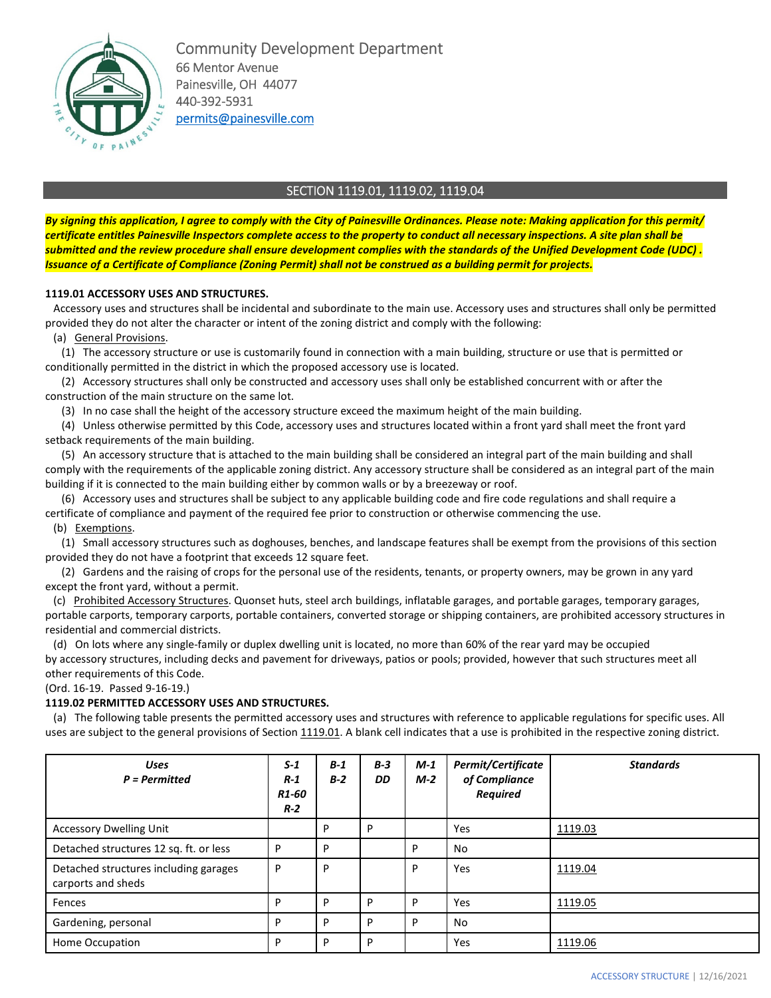

Community Development Department 66 Mentor Avenue Painesville, OH 44077 440-392-5931 permits@painesville.com

## SECTION 1119.01, 1119.02, 1119.04

*By signing this application, I agree to comply with the City of Painesville Ordinances. Please note: Making application for this permit/ certificate entitles Painesville Inspectors complete access to the property to conduct all necessary inspections. A site plan shall be submitted and the review procedure shall ensure development complies with the standards of the Unified Development Code (UDC) . Issuance of a Certificate of Compliance (Zoning Permit) shall not be construed as a building permit for projects.* 

### **1119.01 ACCESSORY USES AND STRUCTURES.**

 Accessory uses and structures shall be incidental and subordinate to the main use. Accessory uses and structures shall only be permitted provided they do not alter the character or intent of the zoning district and comply with the following:

(a) General Provisions.

 (1) The accessory structure or use is customarily found in connection with a main building, structure or use that is permitted or conditionally permitted in the district in which the proposed accessory use is located.

 (2) Accessory structures shall only be constructed and accessory uses shall only be established concurrent with or after the construction of the main structure on the same lot.

(3) In no case shall the height of the accessory structure exceed the maximum height of the main building.

 (4) Unless otherwise permitted by this Code, accessory uses and structures located within a front yard shall meet the front yard setback requirements of the main building.

 (5) An accessory structure that is attached to the main building shall be considered an integral part of the main building and shall comply with the requirements of the applicable zoning district. Any accessory structure shall be considered as an integral part of the main building if it is connected to the main building either by common walls or by a breezeway or roof.

 (6) Accessory uses and structures shall be subject to any applicable building code and fire code regulations and shall require a certificate of compliance and payment of the required fee prior to construction or otherwise commencing the use.

#### (b) Exemptions.

 (1) Small accessory structures such as doghouses, benches, and landscape features shall be exempt from the provisions of this section provided they do not have a footprint that exceeds 12 square feet.

 (2) Gardens and the raising of crops for the personal use of the residents, tenants, or property owners, may be grown in any yard except the front yard, without a permit.

(c) Prohibited Accessory Structures. Quonset huts, steel arch buildings, inflatable garages, and portable garages, temporary garages, portable carports, temporary carports, portable containers, converted storage or shipping containers, are prohibited accessory structures in residential and commercial districts.

 (d) On lots where any single-family or duplex dwelling unit is located, no more than 60% of the rear yard may be occupied by accessory structures, including decks and pavement for driveways, patios or pools; provided, however that such structures meet all other requirements of this Code.

(Ord. 16-19. Passed 9-16-19.)

#### **1119.02 PERMITTED ACCESSORY USES AND STRUCTURES.**

 (a) The following table presents the permitted accessory uses and structures with reference to applicable regulations for specific uses. All uses are subject to the general provisions of Section 1119.01. A blank cell indicates that a use is prohibited in the respective zoning district.

| <b>Uses</b><br>$P = Permitted$                              | $S-1$<br>$R-1$<br>R <sub>1</sub> -60<br>$R-2$ | $B-1$<br>$B-2$ | $B-3$<br>DD | $M-1$<br>$M-2$ | Permit/Certificate<br>of Compliance<br><b>Required</b> | <b>Standards</b> |
|-------------------------------------------------------------|-----------------------------------------------|----------------|-------------|----------------|--------------------------------------------------------|------------------|
| <b>Accessory Dwelling Unit</b>                              |                                               | D              | P           |                | Yes                                                    | 1119.03          |
| Detached structures 12 sq. ft. or less                      | P                                             | P              |             | D              | No                                                     |                  |
| Detached structures including garages<br>carports and sheds | P                                             | D              |             | D              | Yes                                                    | 1119.04          |
| Fences                                                      | P                                             | P              | P           | D              | Yes                                                    | 1119.05          |
| Gardening, personal                                         | P                                             | P              | P           | D              | No                                                     |                  |
| Home Occupation                                             | P                                             | D              | P           |                | Yes                                                    | 1119.06          |